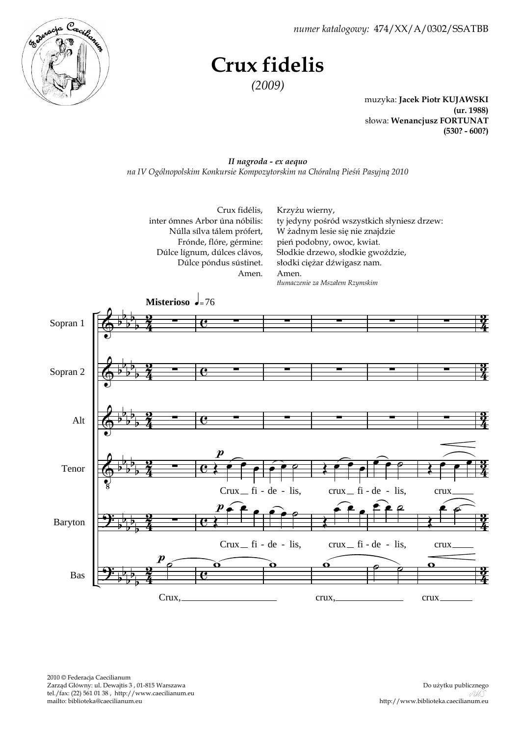

*numer katalogowy:* 474/XX/A/0302/SSATBB

## **Crux fidelis**

*(2009)*

muzyka: **Jacek Piotr KUJAWSKI (ur. 1988)** słowa: **Wenancjusz FORTUNAT (530? - 600?)**

*II nagroda - ex aequo na IV Ogólnopolskim Konkursie Kompozytorskim na Chóralną Pieśń Pasyjną 2010*

Crux fidélis, inter ómnes Arbor úna nóbilis: Núlla sílva tálem prófert, Frónde, flóre, gérmine: Dúlce lígnum, dúlces clávos, Dúlce póndus sústinet. Amen.

Krzyżu wierny, ty jedyny pośród wszystkich słyniesz drzew: W żadnym lesie się nie znajdzie pień podobny, owoc, kwiat. Słodkie drzewo, słodkie gwoździe, słodki ciężar dźwigasz nam. Amen. *tłumaczenie za Mszałem Rzymskim*



2010 © Federacja Caecilianum Zarząd Główny: ul. Dewajtis 3 , 01-815 Warszawa tel./fax: (22) 561 01 38 , http://www.caecilianum.eu mailto: biblioteka@caecilianum.eu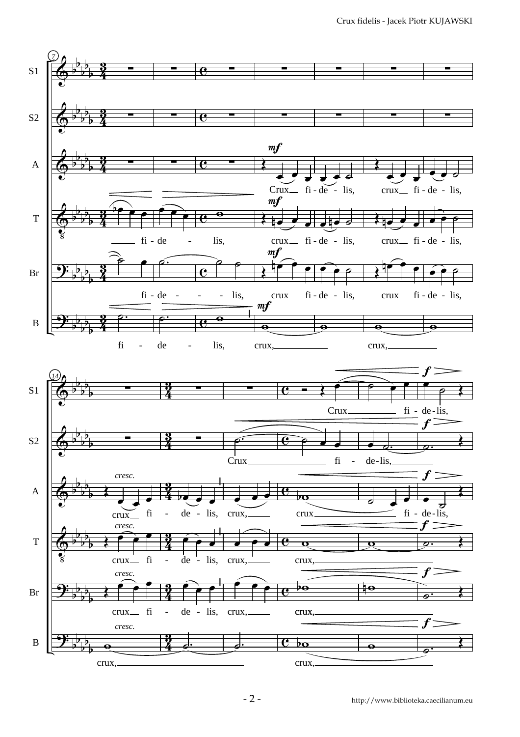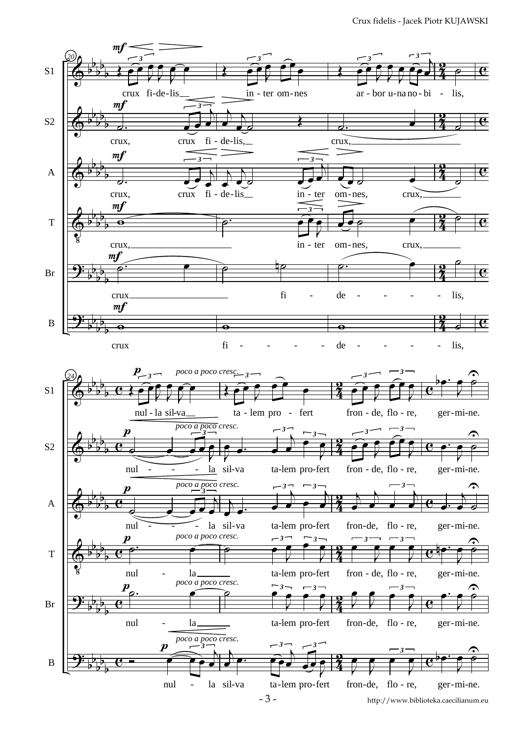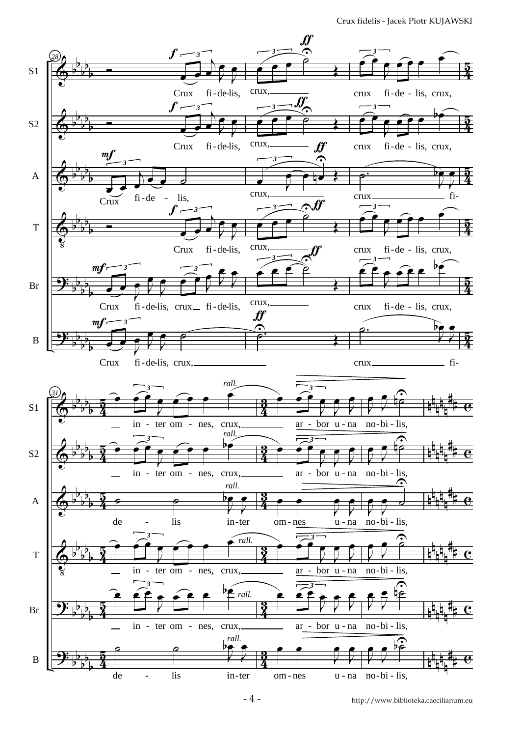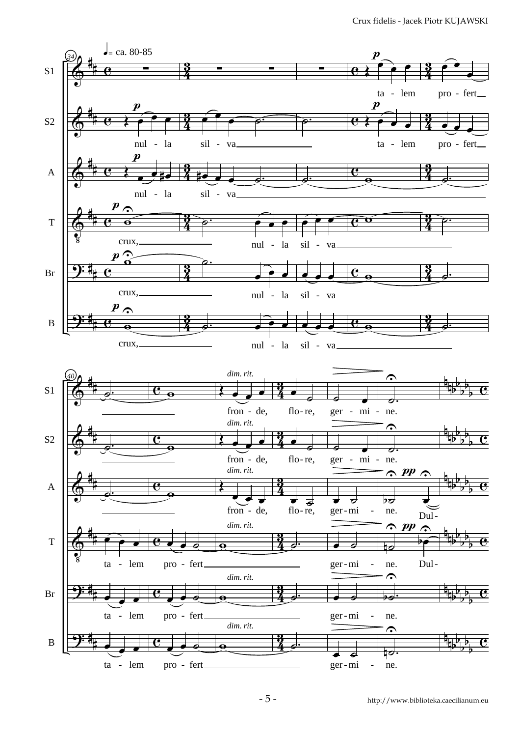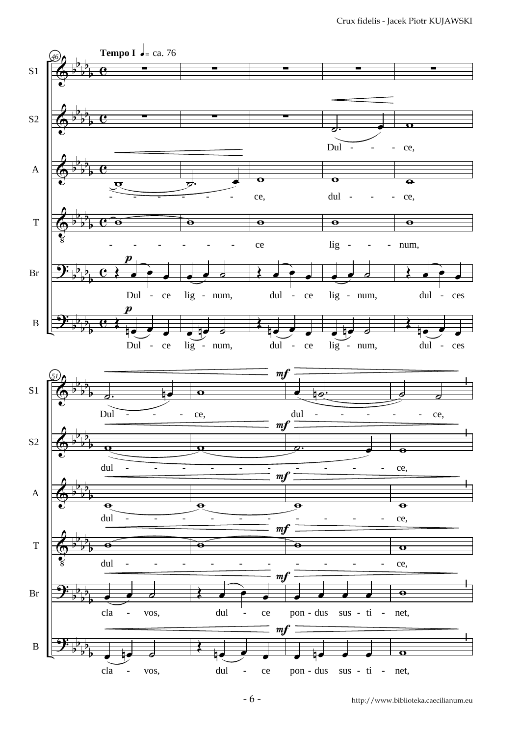